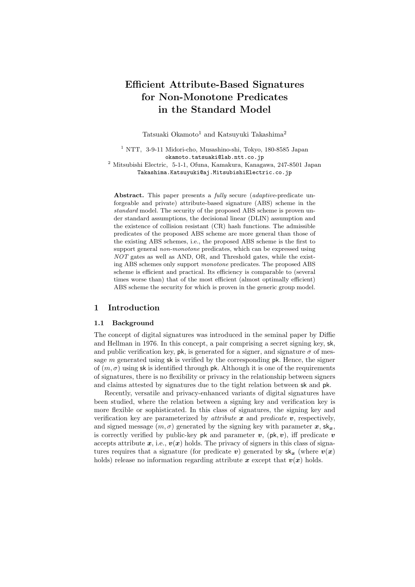# **Efficient Attribute-Based Signatures for Non-Monotone Predicates in the Standard Model**

Tatsuaki Okamoto<sup>1</sup> and Katsuyuki Takashima<sup>2</sup>

<sup>1</sup> NTT, 3-9-11 Midori-cho, Musashino-shi, Tokyo, 180-8585 Japan okamoto.tatsuaki@lab.ntt.co.jp <sup>2</sup> Mitsubishi Electric, 5-1-1, Ofuna, Kamakura, Kanagawa, 247-8501 Japan

Takashima.Katsuyuki@aj.MitsubishiElectric.co.jp

**Abstract.** This paper presents a *fully* secure (*adaptive*-predicate unforgeable and private) attribute-based signature (ABS) scheme in the *standard* model. The security of the proposed ABS scheme is proven under standard assumptions, the decisional linear (DLIN) assumption and the existence of collision resistant (CR) hash functions. The admissible predicates of the proposed ABS scheme are more general than those of the existing ABS schemes, i.e., the proposed ABS scheme is the first to support general *non-monotone* predicates, which can be expressed using *NOT* gates as well as AND, OR, and Threshold gates, while the existing ABS schemes only support *monotone* predicates. The proposed ABS scheme is efficient and practical. Its efficiency is comparable to (several times worse than) that of the most efficient (almost optimally efficient) ABS scheme the security for which is proven in the generic group model.

# **1 Introduction**

#### **1.1 Background**

The concept of digital signatures was introduced in the seminal paper by Diffie and Hellman in 1976. In this concept, a pair comprising a secret signing key, sk, and public verification key, pk, is generated for a signer, and signature  $\sigma$  of message  $m$  generated using sk is verified by the corresponding  $pk$ . Hence, the signer of  $(m, \sigma)$  using sk is identified through pk. Although it is one of the requirements of signatures, there is no flexibility or privacy in the relationship between signers and claims attested by signatures due to the tight relation between sk and pk.

Recently, versatile and privacy-enhanced variants of digital signatures have been studied, where the relation between a signing key and verification key is more flexible or sophisticated. In this class of signatures, the signing key and verification key are parameterized by *attribute x* and *predicate v*, respectively, and signed message  $(m, \sigma)$  generated by the signing key with parameter  $x$ ,  $sk_x$ , is correctly verified by public-key pk and parameter  $v$ , (pk,  $v$ ), iff predicate  $v$ accepts attribute  $x$ , i.e.,  $v(x)$  holds. The privacy of signers in this class of signatures requires that a signature (for predicate *v*) generated by  $sk_x$  (where  $v(x)$ ) holds) release no information regarding attribute  $x$  except that  $v(x)$  holds.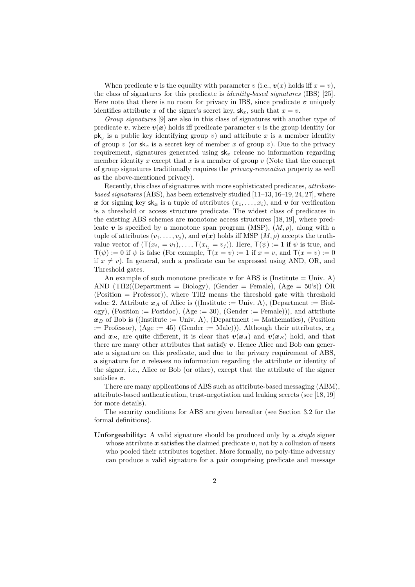When predicate v is the equality with parameter v (i.e.,  $v(x)$  holds iff  $x = v$ ), the class of signatures for this predicate is *identity-based signatures* (IBS) [25]. Here note that there is no room for privacy in IBS, since predicate *v* uniquely identifies attribute x of the signer's secret key,  $sk_x$ , such that  $x = v$ .

*Group signatures* [9] are also in this class of signatures with another type of predicate  $v$ , where  $v(x)$  holds iff predicate parameter v is the group identity (or  $pk<sub>v</sub>$  is a public key identifying group v) and attribute x is a member identity of group v (or  $sk_x$  is a secret key of member x of group v). Due to the privacy requirement, signatures generated using  $sk_x$  release no information regarding member identity  $x$  except that  $x$  is a member of group  $v$  (Note that the concept of group signatures traditionally requires the *privacy-revocation* property as well as the above-mentioned privacy).

Recently, this class of signatures with more sophisticated predicates, *attributebased signatures* (ABS), has been extensively studied [11–13, 16–19, 24, 27], where x for signing key  $sk_x$  is a tuple of attributes  $(x_1, \ldots, x_i)$ , and v for verification is a threshold or access structure predicate. The widest class of predicates in the existing ABS schemes are monotone access structures [18, 19], where predicate  $\boldsymbol{v}$  is specified by a monotone span program (MSP),  $(M, \rho)$ , along with a tuple of attributes  $(v_1,\ldots,v_j)$ , and  $v(x)$  holds iff MSP  $(M,\rho)$  accepts the truthvalue vector of  $(\mathsf{T}(x_{i_1} = v_1), \ldots, \mathsf{T}(x_{i_j} = v_j))$ . Here,  $\mathsf{T}(\psi) := 1$  if  $\psi$  is true, and  $\mathsf{T}(\psi) := 0$  if  $\psi$  is false (For example,  $\mathsf{T}(x = v) := 1$  if  $x = v$ , and  $\mathsf{T}(x = v) := 0$ if  $x \neq v$ ). In general, such a predicate can be expressed using AND, OR, and Threshold gates.

An example of such monotone predicate  $v$  for ABS is (Institute  $=$  Univ. A) AND (TH2((Department = Biology), (Gender = Female),  $(Age = 50's)$ ) OR (Position = Professor)), where TH2 means the threshold gate with threshold value 2. Attribute  $x_A$  of Alice is ((Institute := Univ. A), (Department := Biology), (Position := Postdoc), (Age := 30), (Gender := Female))), and attribute  $x_B$  of Bob is ((Institute := Univ. A), (Department := Mathematics), (Position  $\mathbf{z} := \text{Professor}$ ,  $(\text{Age} := 45)$  (Gender  $:= \text{Male}$ )). Although their attributes,  $\mathbf{x}_A$ and  $x_B$ , are quite different, it is clear that  $v(x_A)$  and  $v(x_B)$  hold, and that there are many other attributes that satisfy  $v$ . Hence Alice and Bob can generate a signature on this predicate, and due to the privacy requirement of ABS, a signature for *v* releases no information regarding the attribute or identity of the signer, i.e., Alice or Bob (or other), except that the attribute of the signer satisfies *v*.

There are many applications of ABS such as attribute-based messaging (ABM), attribute-based authentication, trust-negotiation and leaking secrets (see [18, 19] for more details).

The security conditions for ABS are given hereafter (see Section 3.2 for the formal definitions).

**Unforgeability:** A valid signature should be produced only by a *single* signer whose attribute  $x$  satisfies the claimed predicate  $v$ , not by a collusion of users who pooled their attributes together. More formally, no poly-time adversary can produce a valid signature for a pair comprising predicate and message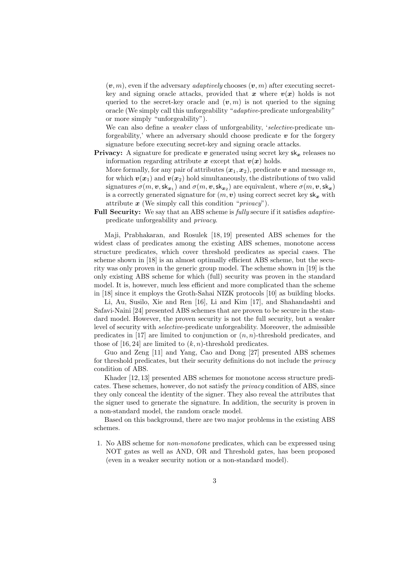$(v, m)$ , even if the adversary *adaptively* chooses  $(v, m)$  after executing secretkey and signing oracle attacks, provided that  $x$  where  $v(x)$  holds is not queried to the secret-key oracle and  $(v, m)$  is not queried to the signing oracle (We simply call this unforgeability "*adaptive*-predicate unforgeability" or more simply "unforgeability").

We can also define a *weaker* class of unforgeability, '*selective*-predicate unforgeability,' where an adversary should choose predicate  $v$  for the forgery signature before executing secret-key and signing oracle attacks.

**Privacy:** A signature for predicate  $v$  generated using secret key  $sk_x$  releases no information regarding attribute  $x$  except that  $v(x)$  holds.

More formally, for any pair of attributes  $(x_1, x_2)$ , predicate  $v$  and message m, for which  $v(x_1)$  and  $v(x_2)$  hold simultaneously, the distributions of two valid signatures  $\sigma(m, v, sk_{x_1})$  and  $\sigma(m, v, sk_{x_2})$  are equivalent, where  $\sigma(m, v, sk_x)$ is a correctly generated signature for  $(m, v)$  using correct secret key  $sk_x$  with attribute *x* (We simply call this condition "*privacy*").

**Full Security:** We say that an ABS scheme is *fully* secure if it satisfies *adaptive*predicate unforgeability and *privacy*.

Maji, Prabhakaran, and Rosulek [18, 19] presented ABS schemes for the widest class of predicates among the existing ABS schemes, monotone access structure predicates, which cover threshold predicates as special cases. The scheme shown in [18] is an almost optimally efficient ABS scheme, but the security was only proven in the generic group model. The scheme shown in [19] is the only existing ABS scheme for which (full) security was proven in the standard model. It is, however, much less efficient and more complicated than the scheme in [18] since it employs the Groth-Sahai NIZK protocols [10] as building blocks.

Li, Au, Susilo, Xie and Ren [16], Li and Kim [17], and Shahandashti and Safavi-Naini [24] presented ABS schemes that are proven to be secure in the standard model. However, the proven security is not the full security, but a weaker level of security with *selective*-predicate unforgeability. Moreover, the admissible predicates in [17] are limited to conjunction or  $(n, n)$ -threshold predicates, and those of [16, 24] are limited to  $(k, n)$ -threshold predicates.

Guo and Zeng [11] and Yang, Cao and Dong [27] presented ABS schemes for threshold predicates, but their security definitions do not include the *privacy* condition of ABS.

Khader [12, 13] presented ABS schemes for monotone access structure predicates. These schemes, however, do not satisfy the *privacy* condition of ABS, since they only conceal the identity of the signer. They also reveal the attributes that the signer used to generate the signature. In addition, the security is proven in a non-standard model, the random oracle model.

Based on this background, there are two major problems in the existing ABS schemes.

1. No ABS scheme for *non-monotone* predicates, which can be expressed using NOT gates as well as AND, OR and Threshold gates, has been proposed (even in a weaker security notion or a non-standard model).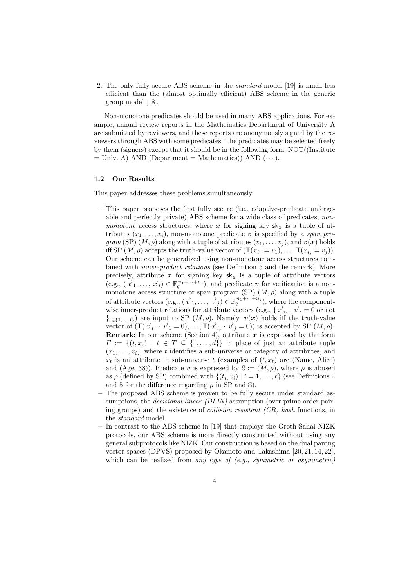2. The only fully secure ABS scheme in the *standard* model [19] is much less efficient than the (almost optimally efficient) ABS scheme in the generic group model [18].

Non-monotone predicates should be used in many ABS applications. For example, annual review reports in the Mathematics Department of University A are submitted by reviewers, and these reports are anonymously signed by the reviewers through ABS with some predicates. The predicates may be selected freely by them (signers) except that it should be in the following form: NOT((Institute  $=$  Univ. A) AND (Department  $=$  Mathematics)) AND  $(\cdots)$ .

#### **1.2 Our Results**

This paper addresses these problems simultaneously.

- **–** This paper proposes the first fully secure (i.e., adaptive-predicate unforgeable and perfectly private) ABS scheme for a wide class of predicates, *nonmonotone* access structures, where  $x$  for signing key  $sk_x$  is a tuple of attributes  $(x_1, \ldots, x_i)$ , non-monotone predicate v is specified by a *span program* (SP)  $(M, \rho)$  along with a tuple of attributes  $(v_1, \ldots, v_j)$ , and  $v(x)$  holds iff SP  $(M, \rho)$  accepts the truth-value vector of  $(\mathsf{T}(x_{i_1} = v_1), \ldots, \mathsf{T}(x_{i_i} = v_j)).$ Our scheme can be generalized using non-monotone access structures combined with *inner-product relations* (see Definition 5 and the remark). More precisely, attribute  $x$  for signing key  $sk_x$  is a tuple of attribute vectors  $(e.g., (\overrightarrow{x}_1,\ldots,\overrightarrow{x}_i) \in \mathbb{F}_q^{n_1+\cdots+n_i}),$  and predicate *v* for verification is a nonmonotone access structure or span program (SP)  $(M, \rho)$  along with a tuple of attribute vectors  $(e.g., (\overrightarrow{v}_1, \ldots, \overrightarrow{v}_j) \in \mathbb{F}_q^{n_1 + \cdots + n_j}$ , where the componentwise inner-product relations for attribute vectors (e.g.,  $\{\vec{x}_i, \vec{v}_i = 0 \text{ or not }$  ${e}_{i\in\{1,...,j\}}$  are input to SP  $(M,\rho)$ . Namely,  $v(x)$  holds iff the truth-value vector of  $(\mathsf{T}(\vec{x}_{i_1} \cdot \vec{v}_1 = 0), \ldots, \mathsf{T}(\vec{x}_{i_j} \cdot \vec{v}_j = 0))$  is accepted by SP  $(M, \rho)$ . **Remark:** In our scheme (Section 4), attribute *x* is expressed by the form  $\Gamma := \{(t, x_t) \mid t \in T \subseteq \{1, \ldots, d\}\}\$ in place of just an attribute tuple  $(x_1,\ldots,x_i)$ , where t identifies a sub-universe or category of attributes, and  $x_t$  is an attribute in sub-universe t (examples of  $(t, x_t)$ ) are (Name, Alice) and (Age, 38)). Predicate  $\boldsymbol{v}$  is expressed by  $\mathbb{S} := (M, \rho)$ , where  $\rho$  is abused as  $\rho$  (defined by SP) combined with  $\{(t_i, v_i) | i = 1, \ldots, \ell\}$  (see Definitions 4 and 5 for the difference regarding  $\rho$  in SP and S).
- **–** The proposed ABS scheme is proven to be fully secure under standard assumptions, the *decisional linear (DLIN)* assumption (over prime order pairing groups) and the existence of *collision resistant (CR) hash* functions, in the *standard* model.
- **–** In contrast to the ABS scheme in [19] that employs the Groth-Sahai NIZK protocols, our ABS scheme is more directly constructed without using any general subprotocols like NIZK. Our construction is based on the dual pairing vector spaces (DPVS) proposed by Okamoto and Takashima [20, 21, 14, 22], which can be realized from *any type of (e.g., symmetric or asymmetric)*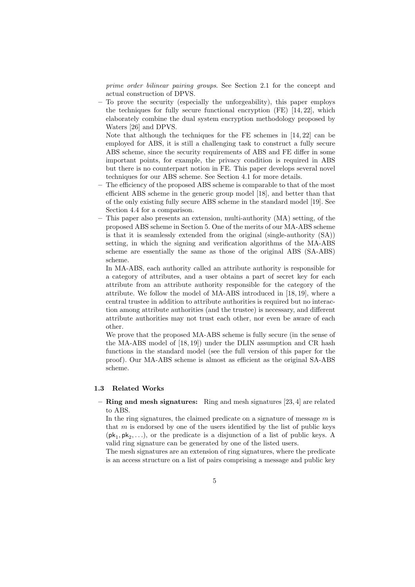*prime order bilinear pairing groups*. See Section 2.1 for the concept and actual construction of DPVS.

**–** To prove the security (especially the unforgeability), this paper employs the techniques for fully secure functional encryption (FE) [14, 22], which elaborately combine the dual system encryption methodology proposed by Waters [26] and DPVS.

Note that although the techniques for the FE schemes in [14, 22] can be employed for ABS, it is still a challenging task to construct a fully secure ABS scheme, since the security requirements of ABS and FE differ in some important points, for example, the privacy condition is required in ABS but there is no counterpart notion in FE. This paper develops several novel techniques for our ABS scheme. See Section 4.1 for more details.

- **–** The efficiency of the proposed ABS scheme is comparable to that of the most efficient ABS scheme in the generic group model [18], and better than that of the only existing fully secure ABS scheme in the standard model [19]. See Section 4.4 for a comparison.
- **–** This paper also presents an extension, multi-authority (MA) setting, of the proposed ABS scheme in Section 5. One of the merits of our MA-ABS scheme is that it is seamlessly extended from the original (single-authority (SA)) setting, in which the signing and verification algorithms of the MA-ABS scheme are essentially the same as those of the original ABS (SA-ABS) scheme.

In MA-ABS, each authority called an attribute authority is responsible for a category of attributes, and a user obtains a part of secret key for each attribute from an attribute authority responsible for the category of the attribute. We follow the model of MA-ABS introduced in [18, 19], where a central trustee in addition to attribute authorities is required but no interaction among attribute authorities (and the trustee) is necessary, and different attribute authorities may not trust each other, nor even be aware of each other.

We prove that the proposed MA-ABS scheme is fully secure (in the sense of the MA-ABS model of [18, 19]) under the DLIN assumption and CR hash functions in the standard model (see the full version of this paper for the proof). Our MA-ABS scheme is almost as efficient as the original SA-ABS scheme.

#### **1.3 Related Works**

**– Ring and mesh signatures:** Ring and mesh signatures [23, 4] are related to ABS.

In the ring signatures, the claimed predicate on a signature of message  $m$  is that  $m$  is endorsed by one of the users identified by the list of public keys  $(\mathsf{pk}_1, \mathsf{pk}_2,\ldots)$ , or the predicate is a disjunction of a list of public keys. A valid ring signature can be generated by one of the listed users.

The mesh signatures are an extension of ring signatures, where the predicate is an access structure on a list of pairs comprising a message and public key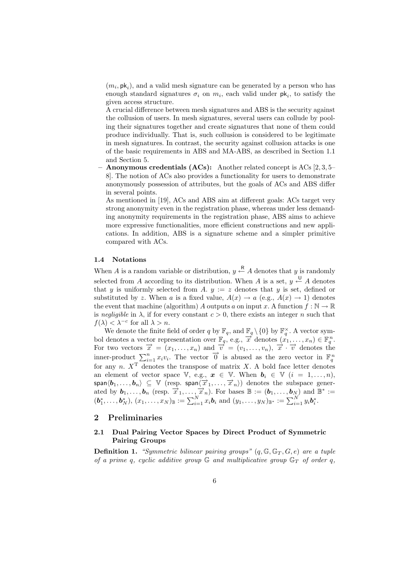$(m_i, \mathsf{pk}_i)$ , and a valid mesh signature can be generated by a person who has enough standard signatures  $\sigma_i$  on  $m_i$ , each valid under  $\mathsf{pk}_i$ , to satisfy the given access structure.

A crucial difference between mesh signatures and ABS is the security against the collusion of users. In mesh signatures, several users can collude by pooling their signatures together and create signatures that none of them could produce individually. That is, such collusion is considered to be legitimate in mesh signatures. In contrast, the security against collusion attacks is one of the basic requirements in ABS and MA-ABS, as described in Section 1.1 and Section 5.

**– Anonymous credentials (ACs):** Another related concept is ACs [2, 3, 5– 8]. The notion of ACs also provides a functionality for users to demonstrate anonymously possession of attributes, but the goals of ACs and ABS differ in several points.

As mentioned in [19], ACs and ABS aim at different goals: ACs target very strong anonymity even in the registration phase, whereas under less demanding anonymity requirements in the registration phase, ABS aims to achieve more expressive functionalities, more efficient constructions and new applications. In addition, ABS is a signature scheme and a simpler primitive compared with ACs.

#### **1.4 Notations**

When A is a random variable or distribution,  $y \stackrel{\mathsf{R}}{\leftarrow} A$  denotes that y is randomly selected from A according to its distribution. When A is a set,  $y \stackrel{\cup}{\leftarrow} A$  denotes that y is uniformly selected from A.  $y := z$  denotes that y is set, defined or substituted by z. When a is a fixed value,  $A(x) \rightarrow a$  (e.g.,  $A(x) \rightarrow 1$ ) denotes the event that machine (algorithm) A outputs a on input x. A function  $f : \mathbb{N} \to \mathbb{R}$ is *negligible* in  $\lambda$ , if for every constant  $c > 0$ , there exists an integer n such that  $f(\lambda) < \lambda^{-c}$  for all  $\lambda > n$ .

We denote the finite field of order q by  $\mathbb{F}_q$ , and  $\mathbb{F}_q \setminus \{0\}$  by  $\mathbb{F}_q^{\times}$ . A vector symbol denotes a vector representation over  $\mathbb{F}_q$ , e.g.,  $\overrightarrow{x}$  denotes  $(x_1, \ldots, x_n) \in \mathbb{F}_q^n$ .<br>For two vectors  $\$ inner-product  $\sum_{i=1}^{n} x_i v_i$ . The vector  $\overrightarrow{0}$  is abused as the zero vector in  $\mathbb{F}_q^n$ for any n.  $X<sup>T</sup>$  denotes the transpose of matrix X. A bold face letter denotes an element of vector space  $\mathbb{V}$ , e.g.,  $\boldsymbol{x} \in \mathbb{V}$ . When  $\boldsymbol{b}_i \in \mathbb{V}$   $(i = 1, \ldots, n)$ ,  $\textsf{span}\langle \boldsymbol{b}_1,\ldots,\boldsymbol{b}_n\rangle \subseteq \mathbb{V}$  (resp.  $\textsf{span}\langle \overrightarrow{x}_1,\ldots,\overrightarrow{x}_n\rangle$ ) denotes the subspace generated by  $\mathbf{b}_1,\ldots,\mathbf{b}_n$  (resp.  $\overrightarrow{x}_1,\ldots,\overrightarrow{x}_n$ ). For bases  $\mathbb{B}:=(\mathbf{b}_1,\ldots,\mathbf{b}_N)$  and  $\mathbb{B}^*:=$  $(b_1^*,\ldots,b_N^*), (x_1,\ldots,x_N)_\mathbb{B} := \sum_{i=1}^N x_i b_i$  and  $(y_1,\ldots,y_N)_{\mathbb{B}^*} := \sum_{i=1}^N y_i b_i^*.$ 

# **2 Preliminaries**

# **2.1 Dual Pairing Vector Spaces by Direct Product of Symmetric Pairing Groups**

**Definition 1.** *"Symmetric bilinear pairing groups"*  $(q, \mathbb{G}, \mathbb{G}_T, G, e)$  *are a tuple of a prime q, cyclic additive group*  $\mathbb{G}$  *and multiplicative group*  $\mathbb{G}_T$  *of order q.*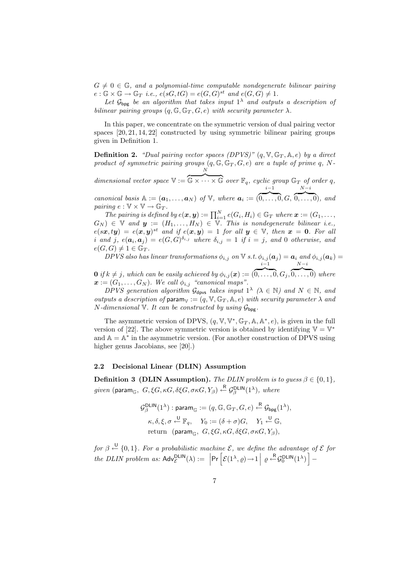$G \neq 0 \in \mathbb{G}$ , and a polynomial-time computable nondegenerate bilinear pairing  $e: \mathbb{G} \times \mathbb{G} \to \mathbb{G}_T$  *i.e.,*  $e(sG, tG) = e(G, G)^{st}$  and  $e(G, G) \neq 1$ .

Let  $\mathcal{G}_{\text{bpg}}$  be an algorithm that takes input  $1^{\lambda}$  and outputs a description of *bilinear pairing groups*  $(q, \mathbb{G}, \mathbb{G}_T, G, e)$  *with security parameter*  $\lambda$ *.* 

In this paper, we concentrate on the symmetric version of dual pairing vector spaces [20, 21, 14, 22] constructed by using symmetric bilinear pairing groups given in Definition 1.

**Definition 2.** *"Dual pairing vector spaces (DPVS)"*  $(q, \mathbb{V}, \mathbb{G}_T, \mathbb{A}, e)$  *by a direct* product of symmetric pairing groups  $(q, \mathbb{G}, \mathbb{G}_T, G, e)$  are a tuple of prime q, N-N

*dimensional vector space* V :=  $\overbrace{\mathbb{G}\times\cdots\times\mathbb{G}}$  *over*  $\mathbb{F}_q$ *, cyclic group*  $\mathbb{G}_T$  *of order* q*,*  $i-1$  $N-i$ 

*canonical basis*  $A := (a_1, \ldots, a_N)$  *of*  $V$ *, where*  $a_i := ($  $\overbrace{0,\ldots,0}$ ,  $G$ ,  $\overbrace{0,\ldots,0}^{n}$ *, and pairing*  $e : \mathbb{V} \times \mathbb{V} \rightarrow \mathbb{G}_T$ .

*The pairing is defined by*  $e(\mathbf{x}, \mathbf{y}) := \prod_{i=1}^{N} e(G_i, H_i) \in \mathbb{G}_T$  where  $\mathbf{x} := (G_1, \ldots, G_n)$  $G_N$ )  $\in$  V and  $y := (H_1, \ldots, H_N) \in$  V. This is nondegenerate bilinear i.e.,  $e(sx, ty) = e(x, y)^{st}$  *and if*  $e(x, y) = 1$  *for all*  $y \in V$ *, then*  $x = 0$ *. For all i* and *j*,  $e(a_i, a_j) = e(G, G)^{\delta_{i,j}}$  where  $\delta_{i,j} = 1$  if  $i = j$ , and 0 otherwise, and  $e(G, G) \neq 1 \in \mathbb{G}_T$ .

*DPVS* also has linear transformations  $\phi_{i,j}$  on V *s.t.*  $\phi_{i,j}(\boldsymbol{a}_j) = \boldsymbol{a}_i$  and  $\phi_{i,j}(\boldsymbol{a}_k) =$  $i-1$  $N-i$ 

**0** *if*  $k \neq j$ , which can be easily achieved by  $\phi_{i,j}(\boldsymbol{x}) := ($  $\overbrace{0,\ldots,0}$ ,  $G_i$  $\overbrace{0,\ldots,0}$  where  $\boldsymbol{x} := (G_1, \ldots, G_N)$ *. We call*  $\phi_{i,j}$  *"canonical maps".* 

*DPVS generation algorithm*  $\mathcal{G}_{\text{dpvs}}$  *takes input*  $1^{\lambda}$  ( $\lambda \in \mathbb{N}$ ) and  $N \in \mathbb{N}$ , and *outputs a description of* para $m_V := (q, V, \mathbb{G}_T, \mathbb{A}, e)$  *with security parameter*  $\lambda$  *and N*-dimensional V. It can be constructed by using  $\mathcal{G}_{\text{bpg}}$ .

The asymmetric version of DPVS,  $(q, \mathbb{V}, \mathbb{V}^*, \mathbb{G}_T, \mathbb{A}, \mathbb{A}^*, e)$ , is given in the full version of [22]. The above symmetric version is obtained by identifying  $\mathbb{V} = \mathbb{V}^*$ and  $A = A^*$  in the asymmetric version. (For another construction of DPVS using higher genus Jacobians, see [20].)

#### **2.2 Decisional Linear (DLIN) Assumption**

**Definition 3 (DLIN Assumption).** *The DLIN problem is to guess*  $\beta \in \{0, 1\}$ *,*  $given$  (param<sub>G</sub>,  $G, \xi G, \kappa G, \delta \xi G, \sigma \kappa G, Y_{\beta}) \stackrel{\text{R}}{\leftarrow} \mathcal{G}_{\beta}^{\text{DLIN}}(1^{\lambda}), \ where$ 

$$
\mathcal{G}_{\beta}^{\text{DLIN}}(1^{\lambda}) : \text{param}_{\mathbb{G}} := (q, \mathbb{G}, \mathbb{G}_{T}, G, e) \xleftarrow{\mathbb{R}} \mathcal{G}_{\text{bpg}}(1^{\lambda}),
$$

$$
\kappa, \delta, \xi, \sigma \xleftarrow{\mathbb{U}} \mathbb{F}_{q}, \quad Y_{0} := (\delta + \sigma)G, \quad Y_{1} \xleftarrow{\mathbb{U}} \mathbb{G},
$$
 return 
$$
(\text{param}_{\mathbb{G}}, G, \xi G, \kappa G, \delta \xi G, \sigma \kappa G, Y_{\beta}),
$$

*for*  $\beta \stackrel{\cup}{\leftarrow} \{0,1\}$ . For a probabilistic machine  $\mathcal{E}$ , we define the advantage of  $\mathcal E$  for *the DLIN problem as:*  $\text{Adv}_{\mathcal{E}}^{\text{DLIN}}(\lambda) := \left| \text{Pr} \left[ \mathcal{E}(1^{\lambda}, \varrho) \rightarrow 1 \, \middle| \, \varrho \stackrel{\text{R}}{\leftarrow} \mathcal{G}_0^{\text{DLIN}}(1^{\lambda}) \right] - \right.$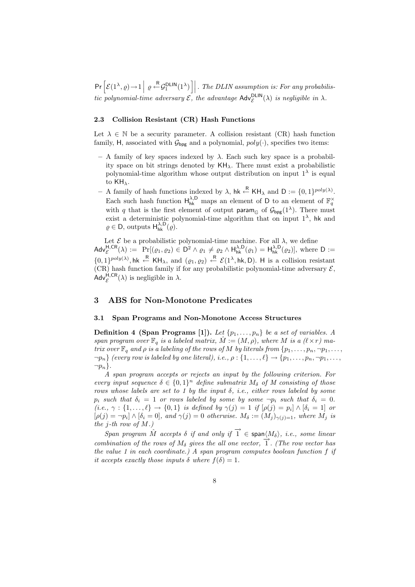$\Pr\left[\mathcal{E}(1^{\lambda},\varrho)\rightarrow 1\Big|\varrho\stackrel{R}{\leftarrow}\mathcal{G}_1^{\sf DLIN}(1^{\lambda})\right]\right]$ . *The DLIN assumption is: For any probabilistic polynomial-time adversary*  $\mathcal{E}$ , the advantage  $\mathsf{Adv}_{\mathcal{E}}^{\mathsf{DLIN}}(\lambda)$  *is negligible in*  $\lambda$ *.* 

### **2.3 Collision Resistant (CR) Hash Functions**

Let  $\lambda \in \mathbb{N}$  be a security parameter. A collision resistant (CR) hash function family, H, associated with  $\mathcal{G}_{\text{bpg}}$  and a polynomial,  $poly(\cdot)$ , specifies two items:

- **–** A family of key spaces indexed by λ. Each such key space is a probability space on bit strings denoted by  $KH_{\lambda}$ . There must exist a probabilistic polynomial-time algorithm whose output distribution on input  $1^{\lambda}$  is equal to KHλ.
- **–** A family of hash functions indexed by  $\lambda$ , hk  $\stackrel{\mathsf{R}}{\leftarrow}$  KH<sub> $\lambda$ </sub> and  $\mathsf{D} := \{0, 1\}^{poly(\lambda)}$ . Each such hash function  $H_{hk}^{\lambda,D}$  maps an element of D to an element of  $\mathbb{F}_q^{\times}$ with q that is the first element of output param<sub>G</sub> of  $\mathcal{G}_{\text{bpg}}(1^{\lambda})$ . There must exist a deterministic polynomial-time algorithm that on input  $1^{\lambda}$ , hk and  $\rho \in \mathsf{D}$ , outputs  $\mathsf{H}_{\mathsf{hk}}^{\lambda,\mathsf{D}}(\varrho)$ .

Let  $\mathcal E$  be a probabilistic polynomial-time machine. For all  $\lambda$ , we define  $\mathsf{Adv}_{\mathcal{E}}^{\mathsf{H},\mathsf{CR}}(\lambda) := \mathsf{Pr}[(\varrho_1,\varrho_2) \in \mathsf{D}^2 \wedge \varrho_1 \neq \varrho_2 \wedge \mathsf{H}_{\mathsf{hk}}^{\lambda,\mathsf{D}}(\varrho_1) = \mathsf{H}_{\mathsf{hk}}^{\lambda,\mathsf{D}}(\varrho_2)],$  where  $\mathsf{D} :=$  $\{0,1\}^{poly(\lambda)}$ , hk  $\leftarrow^R$  KH<sub> $\lambda$ </sub>, and  $(\varrho_1, \varrho_2) \leftarrow^R$   $\mathcal{E}(1^{\lambda}, \text{hk}, D)$ . H is a collision resistant (CR) hash function family if for any probabilistic polynomial-time adversary  $\mathcal{E}$ ,  $\text{Adv}_{\mathcal{E}}^{\hat{\mathsf{H}},\mathsf{CR}}(\lambda)$  is negligible in  $\lambda$ .

# **3 ABS for Non-Monotone Predicates**

### **3.1 Span Programs and Non-Monotone Access Structures**

**Definition 4 (Span Programs [1]).** Let  $\{p_1, \ldots, p_n\}$  be a set of variables. A *span program over*  $\mathbb{F}_q$  *is a labeled matrix,*  $\hat{M} := (M, \rho)$ *, where* M *is a*  $(\ell \times r)$  ma*trix over*  $\mathbb{F}_q$  *and*  $\rho$  *is a labeling of the rows of* M *by literals from*  $\{p_1, \ldots, p_n, \neg p_1, \ldots, \neg p_n\}$  $\neg p_n$  *(every row is labeled by one literal), i.e.,*  $\rho: \{1,\ldots,\ell\} \to \{p_1,\ldots,p_n,\neg p_1,\ldots,\rho_n\}$  $\neg p_n$  $\}$ .

*A span program accepts or rejects an input by the following criterion. For every input sequence*  $\delta \in \{0,1\}^n$  *define submatrix*  $M_{\delta}$  *of*  $M$  *consisting of those rows whose labels are set to 1 by the input* δ*, i.e., either rows labeled by some*  $p_i$  *such that*  $\delta_i = 1$  *or rows labeled by some by some*  $\neg p_i$  *such that*  $\delta_i = 0$ *.*  $(i.e., \gamma : \{1, ..., \ell\} \to \{0, 1\}$  *is defined by*  $\gamma(j) = 1$  *if*  $[\rho(j) = p_i] \wedge [\delta_i = 1]$  *or*  $[\rho(j) = \neg p_i] \wedge [\delta_i = 0]$ , and  $\gamma(j) = 0$  otherwise.  $M_\delta := (M_i)_{\gamma(j)=1}$ , where  $M_i$  is *the* j*-th row of* M*.)*

*Span program*  $\hat{M}$  *accepts*  $\delta$  *if and only if*  $\hat{I} \in \text{span}{\langle M_{\delta} \rangle}$ , *i.e., some linear combination of the rows of*  $M_{\delta}$  *gives the all one vector,*  $\overrightarrow{1}$ *. (The row vector has the value 1 in each coordinate.) A span program computes boolean function* f *if it accepts exactly those inputs*  $\delta$  *where*  $f(\delta)=1$ *.*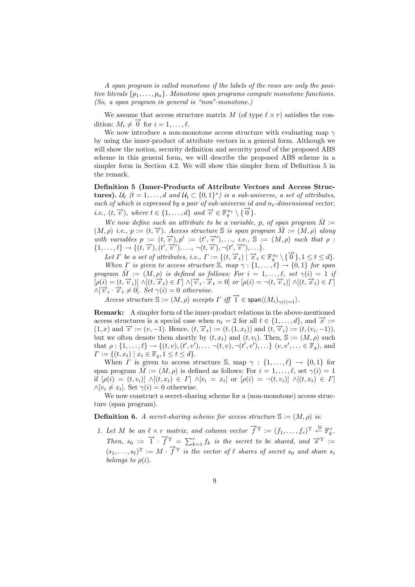*A span program is called monotone if the labels of the rows are only the positive literals* {p1,...,pn}*. Monotone span programs compute monotone functions. (So, a span program in general is "non"-monotone.)*

We assume that access structure matrix M (of type  $\ell \times r$ ) satisfies the condition:  $M_i \neq \overrightarrow{0}$  for  $i = 1, \ldots, \ell$ .

We now introduce a non-monotone access structure with evaluating map  $\gamma$ by using the inner-product of attribute vectors in a general form. Although we will show the notion, security definition and security proof of the proposed ABS scheme in this general form, we will describe the proposed ABS scheme in a simpler form in Section 4.2. We will show this simpler form of Definition 5 in the remark.

**Definition 5 (Inner-Products of Attribute Vectors and Access Structures).**  $\mathcal{U}_t$   $(t = 1, \ldots, d \text{ and } \mathcal{U}_t \subset \{0, 1\}^*$  is a sub-universe, a set of attributes, *each of which is expressed by a pair of sub-universe id and*  $n_t$ -dimensional vector, *i.e.,*  $(t, \overrightarrow{v})$ *, where*  $t \in \{1, ..., d\}$  *and*  $\overrightarrow{v} \in \mathbb{F}_q^{n_t} \setminus \{\overrightarrow{0}\}$ *.* 

*We now define such an attribute to be a variable, p, of span program*  $\hat{M}$  :=  $(M, \rho)$  *i.e.*,  $p := (t, \overrightarrow{v})$ *. Access structure* S *is span program*  $\hat{M} := (M, \rho)$  *along* with variables  $p := (t, \overrightarrow{v}), p' := (t', \overrightarrow{v}'), \ldots, i.e., S := (M, \rho)$  such that  $\rho$ :  $\{1,\ldots,\ell\} \to \{(t, \vec{v}), (t', \vec{v}'), \ldots, \neg(t, \vec{v}), \neg(t', \vec{v}'), \ldots\}.$ 

*Let*  $\Gamma$  *be a set of attributes, i.e.,*  $\Gamma := \{ (t, \overrightarrow{x}_t) \mid \overrightarrow{x}_t \in \mathbb{F}_q^{n_t} \setminus \{ \overrightarrow{0} \}, 1 \leq t \leq d \}.$ 

*When Γ is given to access structure*  $\mathcal{S}$ *, map*  $\gamma : \{1, \ldots, \ell\} \rightarrow \{0, 1\}$  *for span program*  $\hat{M} := (M, \rho)$  *is defined as follows: For*  $i = 1, \ldots, \ell$ , set  $\gamma(i) = 1$  *if*  $[\rho(i)=(t,\overrightarrow{v}_i)] \wedge[(t,\overrightarrow{x}_t)\in \Gamma] \wedge[\overrightarrow{v}_i\cdot \overrightarrow{x}_t=0] \text{ or } [\rho(i)=\neg(t,\overrightarrow{v}_i)] \wedge[(t,\overrightarrow{x}_t)\in \Gamma]$  $\overrightarrow{\mathcal{N}}[\overrightarrow{v}_i \cdot \overrightarrow{x}_t \neq 0]$ . Set  $\gamma(i)=0$  otherwise.

*Access structure*  $\mathbb{S} := (M, \rho)$  *accepts*  $\Gamma$  *iff*  $\overrightarrow{1} \in \text{span}\langle (M_i)_{\gamma(i)=1} \rangle$ .

**Remark:** A simpler form of the inner-product relations in the above-mentioned access structures is a special case when  $n_t = 2$  for all  $t \in \{1, \ldots, d\}$ , and  $\overrightarrow{x} :=$  $(1, x)$  and  $\vec{v} := (v, -1)$ . Hence,  $(t, \vec{x}_t) := (t, (1, x_t))$  and  $(t, \vec{v}_i) := (t, (v_i, -1)),$ but we often denote them shortly by  $(t, x_t)$  and  $(t, v_i)$ . Then,  $\mathbb{S} := (M, \rho)$  such that  $\rho: \{1, ..., \ell\} \to \{(t, v), (t', v'), \ldots \neg(t, v), \neg(t', v'), \ldots\}$   $(v, v', \ldots \in \mathbb{F}_q)$ , and  $\Gamma := \{ (t, x_t) \mid x_t \in \mathbb{F}_q, 1 \le t \le d \}.$ 

When  $\Gamma$  is given to access structure S, map  $\gamma : \{1, ..., \ell\} \to \{0, 1\}$  for span program  $\hat{M} := (M, \rho)$  is defined as follows: For  $i = 1, \ldots, \ell$ , set  $\gamma(i) = 1$ if  $[\rho(i)=(t, v_i)] \wedge [(t, x_t) \in \Gamma] \wedge [v_i = x_t]$  or  $[\rho(i) = \neg(t, v_i)] \wedge [(t, x_t) \in \Gamma]$  $\wedge [v_i \neq x_t]$ . Set  $\gamma(i) = 0$  otherwise.

We now construct a secret-sharing scheme for a (non-monotone) access structure (span program).

**Definition 6.** *A secret-sharing scheme for access structure*  $\mathbb{S} := (M, \rho)$  *is:* 

*1. Let*  $M$  *be an*  $\ell \times r$  *matrix, and column vector*  $\vec{f}^T := (f_1, \ldots, f_r)^T \stackrel{\cup}{\leftarrow} \mathbb{F}_q^r$ . *Then,*  $s_0 := \overrightarrow{1} \cdot \overrightarrow{f}^T = \sum_{k=1}^r f_k$  *is the secret to be shared, and*  $\overrightarrow{s}^T :=$  $(s_1,\ldots,s_\ell)^{\mathrm{T}} := M \cdot \overrightarrow{f}^{\mathrm{T}}$  *is the vector of*  $\ell$  *shares of secret*  $s_0$  *and share*  $s_i$ *belongs to*  $\rho(i)$ *.*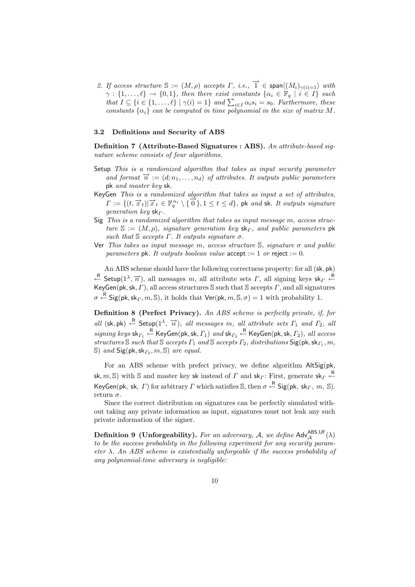2. If access structure  $\mathbb{S} := (M, \rho)$  accepts  $\Gamma$ , *i.e.*,  $\overrightarrow{1} \in \text{span}\langle (M_i)_{\gamma(i)=1} \rangle$  with  $\gamma : \{1, \ldots, \ell\} \to \{0, 1\}$ , then there exist constants  $\{\alpha_i \in \mathbb{F}_q \mid i \in I\}$  such *that*  $I \subseteq \{i \in \{1, ..., \ell\} \mid \gamma(i) = 1\}$  *and*  $\sum_{i \in I} \alpha_i s_i = s_0$ *. Furthermore, these constants*  $\{\alpha_i\}$  *can be computed in time polynomial in the size of matrix* M.

#### **3.2 Definitions and Security of ABS**

**Definition 7 (Attribute-Based Signatures : ABS).** *An attribute-based signature scheme consists of four algorithms.*

- Setup *This is a randomized algorithm that takes as input security parameter* and format  $\vec{n} := (d; n_1, \ldots, n_d)$  of attributes. It outputs public parameters pk *and master key* sk*.*
- KeyGen *This is a randomized algorithm that takes as input a set of attributes,*  $\Gamma := \{ (t, \vec{x}_t) | \vec{x}_t \in \mathbb{F}_q^{n_t} \setminus \{ \vec{0} \}, 1 \leq t \leq d \}$ , pk and sk. It outputs signature *generation key* sk<sub>Γ</sub>.
- Sig *This is a randomized algorithm that takes as input message* m*, access structure*  $S := (M, \rho)$ *, signature generation key*  $sk_{\Gamma}$ *, and public parameters* pk *such that*  $\mathcal S$  *accepts*  $\Gamma$ *. It outputs signature*  $\sigma$ *.*
- Ver *This takes as input message* m*, access structure* S*, signature* σ *and public parameters* pk. It outputs boolean value  $\text{accept} := 1$  or reject := 0.

An ABS scheme should have the following correctness property: for all (sk, pk)  $\overset{R}{\leftarrow}$  Setup(1<sup>λ</sup>,  $\overset{\rightharpoonup}{n}$ ), all messages m, all attribute sets Γ, all signing keys sk<sub>Γ</sub>  $\overset{R}{\leftarrow}$ KeyGen(pk, sk, Γ), all access structures S such that S accepts  $\Gamma$ , and all signatures  $\sigma \stackrel{\mathsf{R}}{\leftarrow}$  Sig(pk, sk<sub>*Γ</sub>*, *m*, S), it holds that  $\mathsf{Ver}(\mathsf{pk}, m, \mathbb{S}, \sigma) = 1$  with probability 1.</sub>

**Definition 8 (Perfect Privacy).** *An ABS scheme is perfectly private, if, for*  $all$  (sk, pk)  $\leftarrow^R$  Setup( $1^{\lambda}$ ,  $\overrightarrow{n}$ ), all messages m, all attribute sets  $\Gamma_1$  and  $\Gamma_2$ , all  $signing\;keys\; \textsf{sk}_{\varGamma_1} \overset{\mathsf{R}}{\leftarrow} \textsf{KeyGen}(\textsf{pk},\textsf{sk},\varGamma_1)\; \textit{and}\; \textsf{sk}_{\varGamma_2} \overset{\mathsf{R}}{\leftarrow} \textsf{KeyGen}(\textsf{pk},\textsf{sk},\varGamma_2),\; \textit{all}\; access$ *structures* S *such that* S *accepts* Γ<sup>1</sup> *and* S *accepts* Γ2*, distributions* Sig(pk,sk<sup>Γ</sup><sup>1</sup> , m, S) *and*  $\text{Sig}(\text{pk},\text{sk}_{\Gamma_2},m,\mathbb{S})$  *are equal.* 

For an ABS scheme with prefect privacy, we define algorithm AltSig(pk, sk, m, S) with S and master key sk instead of  $\Gamma$  and sk<sub> $\Gamma$ </sub>: First, generate sk $\Gamma \stackrel{\text{R}}{\leftarrow}$ KeyGen(pk, sk,  $\Gamma$ ) for arbitrary  $\Gamma$  which satisfies S, then  $\sigma \stackrel{\ {\sf R}}{\leftarrow}$  Sig(pk, sk $_\Gamma, \ m, \ S$ ). return  $\sigma$ .

Since the correct distribution on signatures can be perfectly simulated without taking any private information as input, signatures must not leak any such private information of the signer.

**Definition 9 (Unforgeability).** For an adversary, A, we define  $\mathsf{Adv}_{\mathcal{A}}^{\mathsf{ABS,UF}}(\lambda)$ *to be the success probability in the following experiment for any security parameter* λ*. An ABS scheme is existentially unforgeable if the success probability of any polynomial-time adversary is negligible:*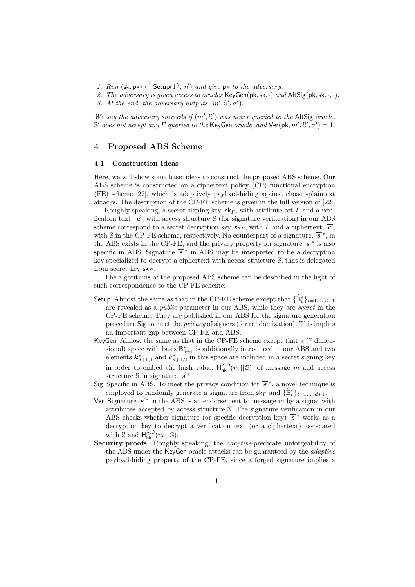- *1. Run* (sk, pk)  $\leftarrow^R$  Setup( $1^{\lambda}, \overrightarrow{n}$ ) *and give* pk *to the adversary.*
- 2. The adversary is given access to oracles  $KeyGen(pk, sk, \cdot)$  and  $AltSig(pk, sk, \cdot, \cdot)$ .
- 3. At the end, the adversary outputs  $(m', S', \sigma')$ .

We say the adversary succeeds if  $(m', \mathbb{S}')$  was never queried to the AltSig oracle, S' does not accept any  $\Gamma$  queried to the KeyGen *oracle*, and  $\text{Ver}(\text{pk}, m', \mathbb{S}', \sigma') = 1$ .

# **4 Proposed ABS Scheme**

#### **4.1 Construction Ideas**

Here, we will show some basic ideas to construct the proposed ABS scheme. Our ABS scheme is constructed on a ciphertext policy (CP) functional encryption (FE) scheme [22], which is adaptively payload-hiding against chosen-plaintext attacks. The description of the CP-FE scheme is given in the full version of [22].

Roughly speaking, a secret signing key,  $\mathsf{sk}_\Gamma$ , with attribute set  $\Gamma$  and a verification text,  $\vec{c}$ , with access structure S (for signature verification) in our ABS scheme correspond to a secret decryption key,  $\mathsf{sk}_{\Gamma}$ , with  $\Gamma$  and a ciphertext,  $\vec{c}$ , with S in the CP-FE scheme, respectively. No counterpart of a signature,  $\vec{s}^*$ , in the ABS exists in the CP-FE, and the privacy property for signature  $\vec{s}^*$  is also specific in ABS. Signature  $\vec{s}^*$  in ABS may be interpreted to be a decryption key specialized to decrypt a ciphertext with access structure S, that is delegated from secret key  $sk_{\Gamma}$ .

The algorithms of the proposed ABS scheme can be described in the light of such correspondence to the CP-FE scheme:

- Setup Almost the same as that in the CP-FE scheme except that  $\{\widehat{\mathbb{B}}_t^*\}_{t=1,\ldots,d+1}$ are revealed as a *public* parameter in our ABS, while they are *secret* in the CP-FE scheme. They are published in our ABS for the signature generation procedure Sig to meet the *privacy* of signers (for randomization). This implies an important gap between CP-FE and ABS.
- KeyGen Almost the same as that in the CP-FE scheme except that a (7 dimensional) space with basis  $\mathbb{B}_{d+1}^*$  is additionally introduced in our ABS and two elements  $k_{d+1,1}^*$  and  $k_{d+1,2}^*$  in this space are included in a secret signing key in order to embed the hash value,  $H_{hk}^{\lambda,D}(m \mid\mid S)$ , of message m and access structure  $\sin$  signature  $\vec{s}$ <sup>\*</sup>.
- Sig Specific in ABS. To meet the privacy condition for  $\vec{s}^*$ , a novel technique is employed to randomly generate a signature from  $\mathsf{sk}_{\Gamma}$  and  $\{\widehat{\mathbb{B}}_t^*\}_{t=1,\ldots,d+1}$ .
- Ver Signature  $\vec{s}$ <sup>\*</sup> in the ABS is an endorsement to message m by a signer with attributes accepted by access structure S. The signature verification in our ABS checks whether signature (or specific decryption key)  $\vec{s}^*$  works as a decryption key to decrypt a verification text (or a ciphertext) associated with  $\mathbb{S}$  and  $H_{hk}^{\lambda,D}(m \mid\mid \mathbb{S})$ .
- **Security proofs** Roughly speaking, the *adaptive*-predicate unforgeability of the ABS under the KeyGen oracle attacks can be guaranteed by the *adaptive* payload-hiding property of the CP-FE, since a forged signature implies a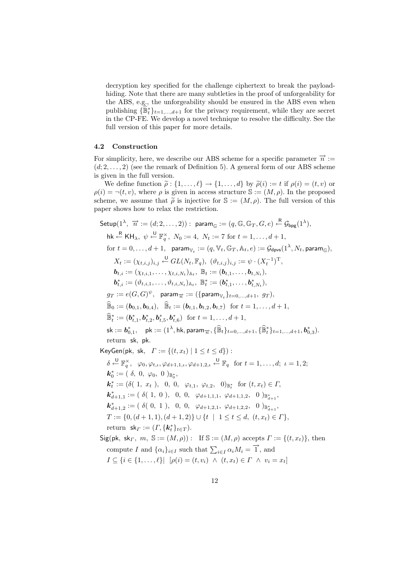decryption key specified for the challenge ciphertext to break the payloadhiding. Note that there are many subtleties in the proof of unforgeability for the ABS, e.g., the unforgeability should be ensured in the ABS even when publishing  $\{\widehat{\mathbb{B}}_t^*\}_{t=1,\ldots,d+1}$  for the privacy requirement, while they are secret in the CP-FE. We develop a novel technique to resolve the difficulty. See the full version of this paper for more details.

### **4.2 Construction**

For simplicity, here, we describe our ABS scheme for a specific parameter  $\vec{n} :=$  $(d; 2, \ldots, 2)$  (see the remark of Definition 5). A general form of our ABS scheme is given in the full version.

We define function  $\tilde{\rho}: \{1,\ldots,\ell\} \to \{1,\ldots,d\}$  by  $\tilde{\rho}(i) := t$  if  $\rho(i) = (t, v)$  or  $\rho(i) = \neg(t, v)$ , where  $\rho$  is given in access structure  $\mathbb{S} := (M, \rho)$ . In the proposed scheme, we assume that  $\tilde{\rho}$  is injective for  $\mathbb{S} := (M, \rho)$ . The full version of this paper shows how to relax the restriction.

Setup(1<sup>λ</sup>, 
$$
\overrightarrow{n}
$$
 := (d; 2, ..., 2)) : param<sub>G</sub> := (q, G, G<sub>T</sub>, G, e)  $\stackrel{\text{R}}{\leftarrow} \mathbf{G}_{\text{bpg}}(1^{\lambda}),$   
\nhk  $\stackrel{\text{R}}{\leftarrow}$  KH<sub>λ</sub>,  $\psi \stackrel{\text{U}}{\leftarrow} \mathbb{F}_{q}^{\times}$ ,  $N_0 := 4$ ,  $N_t := 7$  for  $t = 1, ..., d + 1$ ,  
\nfor  $t = 0, ..., d + 1$ , param<sub>V<sub>t</sub></sub> := (q, V<sub>t</sub>, G<sub>T</sub>, A<sub>t</sub>, e) :=  $\mathbf{G}_{\text{dpys}}(1^{\lambda}, N_t, \text{param}_{\mathbb{G}})$ ,  
\n $X_t := (\chi_{t,i,j})_{i,j} \stackrel{\text{U}}{\leftarrow} GL(N_t, \mathbb{F}_q), (\vartheta_{t,i,j})_{i,j} := \psi \cdot (X_t^{-1})^{\text{T}},$   
\nb<sub>t,i</sub> := (Y<sub>t,i,1</sub>, ..., Y<sub>t,i,N\_t})\_{A\_t} \mathbb{B}\_t := (\mathbf{b}\_{t,1}, ..., \mathbf{b}\_{t,N\_t}),  
\nb<sub>t,i</sub><sup>\*</sup> := (\vartheta\_{t,i,1}, ..., \vartheta\_{t,i,N\_t})\_{A\_t} \mathbb{B}\_t^\* := (\mathbf{b}\_{t,1}, ..., \mathbf{b}\_{t,N\_t}),  
\n $gr := e(G, G)^{\psi}$ , param <sub>$\overrightarrow{n}$</sub>  := ((param <sub>$\psi_t$</sub> ) <sub>$t=0, ..., d+1$ ,  $gr$ ),  
\n $\widehat{\mathbb{B}}_0 := (\mathbf{b}_{0,1}, \mathbf{b}_{0,4})$ ,  $\widehat{\mathbb{B}}_t := (\mathbf{b}_{t,1}, \mathbf{b}_{t,2}, \mathbf{b}_{t,7})$  for  $t = 1, ..., d + 1$ ,  
\n $\mathbb{B}_t^* := (\mathbf{b}_{t,1}^*, \mathbf{b}_{t,2}, \mathbf{b}_{t,5}^*, \mathbf{b}_{t,6}^*)$  for  $t = 1, ..., d + 1$ ,  
\nsk :=  $\mathbf{$</sub></sub>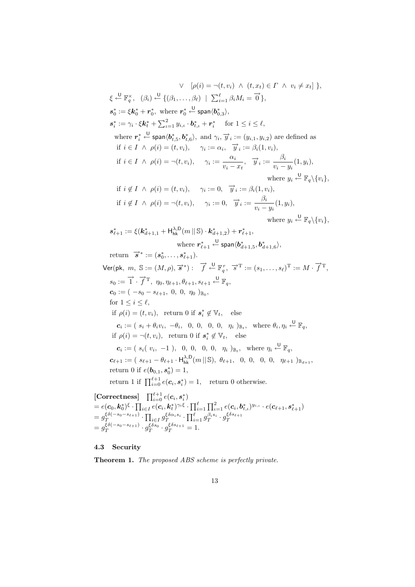$\vee \left[ \rho(i) = \neg(t, v_i) \land (t, x_t) \in \Gamma \land v_i \neq x_t \right] \},$  $\xi \stackrel{\mathsf{U}}{\leftarrow} \mathbb{F}_q^{\times}, \quad (\beta_i) \stackrel{\mathsf{U}}{\leftarrow} \{(\beta_1,\ldots,\beta_\ell) \mid \sum_{i=1}^{\ell} \beta_i M_i = \overrightarrow{0}\},$  $s_0^* := \xi k_0^* + r_0^*$ , where  $r_0^*$  $\overset{\mathsf{U}}{\leftarrow}$  span $\langle \bm{b}_{0,3}^{*} \rangle,$  $s_i^* := \gamma_i \cdot \xi \mathbf{k}_t^* + \sum_{\iota=1}^2 y_{i,\iota} \cdot \mathbf{b}_{t,\iota}^* + \mathbf{r}_i^* \quad \text{ for } 1 \leq i \leq \ell,$ where  $\boldsymbol{r}_i^* \stackrel{\cup}{\leftarrow}$  span $\langle \boldsymbol{b}_{t,5}^*, \boldsymbol{b}_{t,6}^* \rangle$ , and  $\gamma_i$ ,  $\overrightarrow{y}_i := (y_{i,1}, y_{i,2})$  are defined as if  $i \in I \land \rho(i) = (t, v_i), \quad \gamma_i := \alpha_i, \quad \vec{y}_i := \beta_i(1, v_i),$ if  $i \in I \ \land \ \rho(i) = \neg(t, v_i), \quad \gamma_i := \frac{\alpha_i}{v_i - x_t}, \quad \overrightarrow{y}_i := \frac{\beta_i}{v_i - y_i}(1, y_i),$ where  $y_i \stackrel{\text{U}}{\leftarrow} \mathbb{F}_q \backslash \{v_i\},\$ if  $i \notin I \land \rho(i) = (t, v_i), \quad \gamma_i := 0, \quad \overrightarrow{y}_i := \beta_i(1, v_i),$ if  $i \notin I \land \rho(i) = \neg(t, v_i), \quad \gamma_i := 0, \quad \overrightarrow{y}_i := \frac{\beta_i}{v_i - y_i}(1, y_i),$ where  $y_i \stackrel{\text{U}}{\leftarrow} \mathbb{F}_q \backslash \{v_i\},\$  $s_{\ell+1}^* := \xi(k_{d+1,1}^* + \mathsf{H}_{\mathsf{hk}}^{\lambda,\mathsf{D}}(m \,||\, \mathbb{S}) \cdot \mathbf{k}_{d+1,2}^*) + \mathbf{r}_{\ell+1}^*,$ where  $r^*_{\ell+1} \overset{\mathsf{U}}{\leftarrow} \mathsf{span} \langle \boldsymbol{b}^*_{d+1,5}, \boldsymbol{b}^*_{d+1,6} \rangle,$ return  $\vec{s}^* := (s_0^*, \ldots, s_{\ell+1}^*)$ .  $\mathsf{Ver}(\mathsf{pk}, \ m, \ \mathbb{S}:=(M,\rho), \overrightarrow{s}^*) : \quad \overrightarrow{f} \overset{\mathsf{U}}{\leftarrow} \mathbb{F}_q^r, \ \overrightarrow{s}^{\mathrm{T}}:=(s_1,\ldots,s_\ell)^\mathrm{T}:=M \cdot \overrightarrow{f}^\mathrm{T},$  $s_0 := \overrightarrow{1} \cdot \overrightarrow{f}^T$ ,  $\eta_0, \eta_{\ell+1}, \theta_{\ell+1}, s_{\ell+1} \stackrel{\cup}{\leftarrow} \mathbb{F}_q$  $c_0 := (-s_0 - s_{\ell+1}, 0, 0, \eta_0)_{\mathbb{B}_0},$ for  $1 \leq i \leq \ell$ , if  $\rho(i) = (t, v_i)$ , return 0 if  $s_i^* \notin V_t$ , else  $\boldsymbol{c}_i := (s_i + \theta_i v_i, -\theta_i, 0, 0, 0, 0, \eta_i)_{\mathbb{B}_t}, \text{ where } \theta_i, \eta_i \stackrel{\cup}{\leftarrow} \mathbb{F}_q,$ if  $\rho(i) = \neg(t, v_i)$ , return 0 if  $s_i^* \notin V_t$ , else  $\boldsymbol{c}_i := (s_i(\ v_i, -1), \ \ 0, \ 0, \ \ 0, \ \ \eta_i)_{\mathbb{B}_t}, \ \ \text{where } \eta_i \stackrel{\cup}{\leftarrow} \mathbb{F}_q,$  $\pmb{c}_{\ell+1} := ( \ s_{\ell+1} - \theta_{\ell+1} \cdot \mathsf{H}_{\mathsf{hk}}^{\lambda,\mathsf{D}}(m \, \| \, \mathbb{S}), \ \theta_{\ell+1}, \ \ 0, \ 0, \ \ 0, \ \ 0, \ \ \eta_{\ell+1} \ )_{\mathbb{B}_{d+1}},$ return 0 if  $e(b_{0,1}, s_0^*) = 1$ , return 1 if  $\prod_{i=0}^{\ell+1} e(c_i, s_i^*) = 1$ , return 0 otherwise.  $\left[\text{Correctness}\right] \quad \prod_{i=0}^{\ell+1} e(\boldsymbol{c}_i, \boldsymbol{s}_i^*)$  $\vec{e} = e(\bm{c}_0, \bm{k}_0^*)^{\xi} \cdot \prod_{i \in I} \overline{e(\bm{c}_i, \bm{k}_t^*)^{\gamma_i \xi}} \cdot \prod_{i=1}^{\ell} \prod_{i=1}^2 e(\bm{c}_i, \bm{b}_{t,\iota}^*)^{y_{i,\iota}} \cdot e(\bm{c}_{\ell+1}, \bm{s}_{\ell+1}^*)$  $=g_T^{\xi\delta(-s_0-s_{\ell+1})}\cdot \prod_{i\in I}g_T^{\xi\delta\alpha_i s_i}\cdot \prod_{i=1}^\ell g_T^{\beta_i s_i}\cdot g_T^{\xi\delta s_{\ell+1}}$ 

#### **4.3 Security**

 $=g_{T}^{\bar{\xi}\delta(-s_{0}-s_{\ell+1})}\cdot g_{T}^{\bar{\xi}\delta s_{0}}\cdot g_{T}^{\bar{\xi}\delta s_{\ell+1}}=1.$ 

**Theorem 1.** *The proposed ABS scheme is perfectly private.*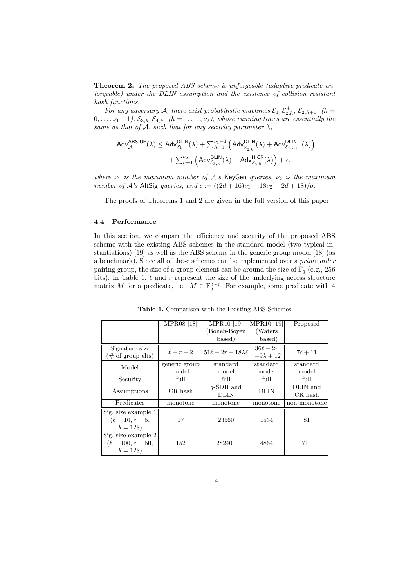**Theorem 2.** *The proposed ABS scheme is unforgeable (adaptive-predicate unforgeable) under the DLIN assumption and the existence of collision resistant hash functions.*

For any adversary A, there exist probabilistic machines  $\mathcal{E}_1, \mathcal{E}^+_{2,h}, \mathcal{E}_{2,h+1}$  (h =  $0, \ldots, \nu_1 - 1$ *,*  $\mathcal{E}_{3,h}, \mathcal{E}_{4,h}$  *(h = 1, ..., v<sub>2</sub>), whose running times are essentially the same as that of*  $\mathcal{A}$ *, such that for any security parameter*  $\lambda$ *,* 

$$
\begin{aligned}\text{Adv}_{\mathcal{A}}^{\text{ABS,UF}}(\lambda) & \leq \text{Adv}_{\mathcal{E}_1}^{\text{DLIN}}(\lambda) + \sum_{h=0}^{\nu_1-1} \left(\text{Adv}_{\mathcal{E}_{2,h}^+}^{\text{DLIN}}(\lambda) + \text{Adv}_{\mathcal{E}_{2,h+1}}^{\text{DLIN}}(\lambda)\right) \\ & + \sum_{h=1}^{\nu_2} \left(\text{Adv}_{\mathcal{E}_{3,h}}^{\text{DLIN}}(\lambda) + \text{Adv}_{\mathcal{E}_{4,h}^+}^{\text{H,CR}}(\lambda)\right) + \epsilon,\end{aligned}
$$

*where*  $\nu_1$  *is the maximum number of*  $A$ 's KeyGen *queries,*  $\nu_2$  *is the maximum number of* A<sup>'</sup>s AltSig *queries, and*  $\epsilon := ((2d + 16)\nu_1 + 18\nu_2 + 2d + 18)/q$ .

The proofs of Theorems 1 and 2 are given in the full version of this paper.

#### **4.4 Performance**

In this section, we compare the efficiency and security of the proposed ABS scheme with the existing ABS schemes in the standard model (two typical instantiations) [19] as well as the ABS scheme in the generic group model [18] (as a benchmark). Since all of these schemes can be implemented over a *prime order* pairing group, the size of a group element can be around the size of  $\mathbb{F}_q$  (e.g., 256) bits). In Table 1,  $\ell$  and r represent the size of the underlying access structure matrix M for a predicate, i.e.,  $M \in \mathbb{F}_q^{\ell \times r}$ . For example, some predicate with 4

**Table 1.** Comparison with the Existing ABS Schemes

|                        | MPR08 [18]    | MPR <sub>10</sub> [19]        | <b>MPR10</b> [19] | Proposed     |
|------------------------|---------------|-------------------------------|-------------------|--------------|
|                        |               | (Boneh-Boven)                 | (Waters)          |              |
|                        |               | based)                        | based)            |              |
| Signature size         | $\ell+r+2$    | $51\ell + 2r + 18\lambda\ell$ | $36\ell + 2r$     |              |
| $#$ of group elts)     |               |                               | $+9\lambda + 12$  | $7\ell + 11$ |
| Model                  | generic group | standard                      | standard          | standard     |
|                        | model         | model                         | model             | model        |
| Security               | full          | full                          | full              | full         |
| Assumptions            | CR hash       | $q$ -SDH and                  | DLIN              | DLIN and     |
|                        |               | DLIN                          |                   | CR hash      |
| Predicates             | monotone      | monotone                      | monotone          | non-monotone |
| Sig. size example 1    |               |                               |                   |              |
| $(\ell = 10, r = 5,$   | 17            | 23560                         | 1534              | 81           |
| $\lambda = 128$        |               |                               |                   |              |
| Sig. size example 2    |               |                               |                   |              |
| $(\ell = 100, r = 50,$ | 152           | 282400                        | 4864              | 711          |
| $\lambda = 128$        |               |                               |                   |              |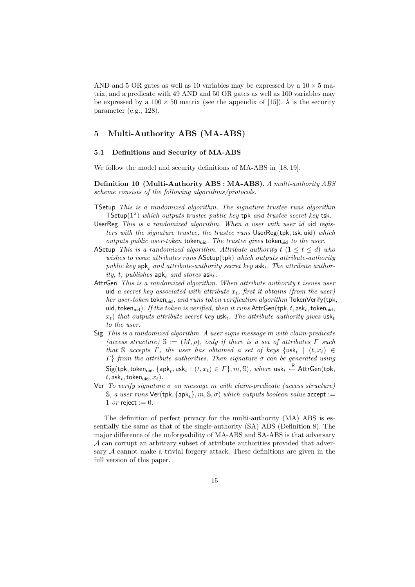AND and 5 OR gates as well as 10 variables may be expressed by a  $10 \times 5$  matrix, and a predicate with 49 AND and 50 OR gates as well as 100 variables may be expressed by a  $100 \times 50$  matrix (see the appendix of [15]).  $\lambda$  is the security parameter (e.g., 128).

# **5 Multi-Authority ABS (MA-ABS)**

#### **5.1 Definitions and Security of MA-ABS**

We follow the model and security definitions of MA-ABS in [18, 19].

**Definition 10 (Multi-Authority ABS : MA-ABS).** *A multi-authority ABS scheme consists of the following algorithms/protocols.*

- TSetup *This is a randomized algorithm. The signature trustee runs algorithm* TSetup(1λ) *which outputs trustee public key* tpk *and trustee secret key* tsk*.*
- UserReg *This is a randomized algorithm. When a user with user id* uid *registers with the signature trustee, the trustee runs* UserReg(tpk, tsk, uid) *which outputs public user-token* token<sub>uid</sub>. The trustee gives token<sub>uid</sub> to the user.
- ASetup *This is a randomized algorithm. Attribute authority* t (1 ≤ t ≤ d) *who wishes to issue attributes runs* ASetup(tpk) *which outputs attribute-authority public key*  $a$ pk<sub>t</sub> *and attribute-authority secret key*  $a$ sk<sub>t</sub>. The *attribute author* $ity, t, \text{ } \text{ }pubits has \text{ } \text{ }apk_t \text{ } \text{ } and \text{ } stores \text{ } \text{ }ask_t.$
- AttrGen *This is a randomized algorithm. When attribute authority* t *issues user* uid *a secret key associated with attribute*  $x_t$ *, first it obtains (from the user) her user-token* token<sub>uid</sub>, and runs token verification algorithm TokenVerify(tpk, uid, token<sub>uid</sub>). If the token is verified, then it runs  $\text{AttrGen}(\text{tpk}, t, \text{ask}_t, \text{token}_{\text{uid}},$  $x_t$ ) *that outputs attribute secret key* usk<sub>t</sub>. The attribute authority gives usk<sub>t</sub> *to the user.*
- Sig *This is a randomized algorithm. A user signs message* m *with claim-predicate*  $(acess$  structure)  $\mathbb{S} := (M, \rho)$ *, only if there is a set of attributes*  $\Gamma$  *such that* S *accepts*  $\Gamma$ *, the user has obtained a set of keys* {usk<sub>t</sub> |  $(t, x_t) \in$ Γ} *from the attribute authorities. Then signature* σ *can be generated using*  $\mathsf{Sig}(\mathsf{tpk},\mathsf{token}_{\mathsf{uid}},\{\mathsf{apk}_t,\mathsf{usk}_t \mid (t,x_t) \in \varGamma\},m,\mathbb{S}), \text{ where } \mathsf{usk}_t \overset{\mathsf{R}}{\leftarrow} \mathsf{AttrGen}(\mathsf{tpk},$  $t$ , ask<sub>t</sub>, token<sub>uid</sub>,  $x_t$ ).
- Ver *To verify signature* σ *on message* m *with claim-predicate (access structure)* S, a user runs  $Ver(tpk, \{apk_t\}, m, S, \sigma)$  *which outputs boolean value* accept := 1 *or* reject := 0.

The definition of perfect privacy for the multi-authority (MA) ABS is essentially the same as that of the single-authority (SA) ABS (Definition 8). The major difference of the unforgeability of MA-ABS and SA-ABS is that adversary A can corrupt an arbitrary subset of attribute authorities provided that adversary  $A$  cannot make a trivial forgery attack. These definitions are given in the full version of this paper.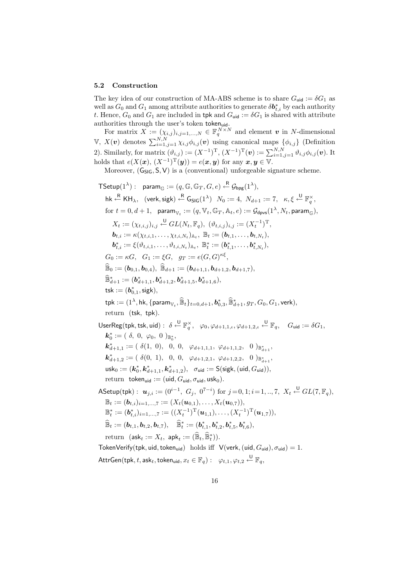#### **5.2 Construction**

The key idea of our construction of MA-ABS scheme is to share  $G_{\mathsf{uid}} := \delta G_1$  as well as  $G_0$  and  $G_1$  among attribute authorities to generate  $\delta \bm{b}_{t,i}^*$  by each authority t. Hence,  $G_0$  and  $G_1$  are included in tpk and  $G_{\text{uid}} := \delta G_1$  is shared with attribute authorities through the user's token token<sub>uid</sub>.

For matrix  $\overline{X} := (\chi_{i,j})_{i,j=1,\dots,N} \in \mathbb{F}_q^{\overline{N} \times N}$  and element *v* in N-dimensional  $\mathbb{V}, X(\boldsymbol{v})$  denotes  $\sum_{i=1,j=1}^{N,N} \chi_{i,j} \phi_{i,j}(\boldsymbol{v})$  using canonical maps  $\{\phi_{i,j}\}\$  (Definition 2). Similarly, for matrix  $(\vartheta_{i,j}) := (X^{-1})^{\mathrm{T}}$ ,  $(X^{-1})^{\mathrm{T}}(\boldsymbol{v}) := \sum_{i=1,j=1}^{N,N} \vartheta_{i,j} \phi_{i,j}(\boldsymbol{v})$ . It holds that  $e(X(\mathbf{x}), (X^{-1})^T(\mathbf{y})) = e(\mathbf{x}, \mathbf{y})$  for any  $\mathbf{x}, \mathbf{y} \in V$ .

Moreover,  $(G_{\text{SIG}}, S, V)$  is a (conventional) unforgeable signature scheme.

 $\mathsf{TSetup}(1^\lambda): \ \ \mathsf{param}_{\mathbb{G}}:=(q,\mathbb{G},\mathbb{G}_T,G,e)\overset{\mathsf{R}}{\leftarrow}\mathcal{G}_{\mathsf{bpg}}(1^\lambda),$  $\mathsf{h}\mathsf{k} \overset{\mathsf{R}}{\leftarrow} \mathsf{K}\mathsf{H}_{\lambda}, \ \ (\mathsf{verk},\mathsf{sigk}) \overset{\mathsf{R}}{\leftarrow} \mathsf{G_{\mathsf{SIG}}}(1^{\lambda}) \ \ N_0 := 4, \ N_{d+1} := 7, \ \ \kappa,\xi \overset{\mathsf{U}}{\leftarrow} \mathbb{F}_q^{\times},$ for  $t = 0, d + 1$ , param<sub>V,  $\Xi = (q, \mathbb{V}_t, \mathbb{G}_T, \mathbb{A}_t, e) := \mathcal{G}_{\text{dnys}}(1^{\lambda}, N_t, \text{param}_G)$ ,</sub>  $X_t := (\chi_{t,i,j})_{i,j} \stackrel{\mathsf{U}}{\leftarrow} GL(N_t, \mathbb{F}_q), \ (\vartheta_{t,i,j})_{i,j} := (X_t^{-1})^{\mathrm{T}},$  $\mathbf{b}_{t,i} := \kappa(\chi_{t,i,1},\ldots,\chi_{t,i,N_t})_{\mathbb{A}_t}, \ \mathbb{B}_t := (\mathbf{b}_{t,1},\ldots,\mathbf{b}_{t,N_t}),$  $\bm{b}^*_{t,i} := \xi(\vartheta_{t,i,1},\ldots,\vartheta_{t,i,N_t})_{\mathbb{A}_t}, \; \mathbb{B}^*_t := (\bm{b}^*_{t,1},\ldots,\bm{b}^*_{t,N_t}),$  $G_0 := \kappa G, \quad G_1 := \xi G, \quad g_T := e(G, G)^{\kappa \xi},$  $\widehat{\mathbb{B}}_0 := (\boldsymbol{b}_{0,1}, \boldsymbol{b}_{0,4}), \widehat{\mathbb{B}}_{d+1} := (\boldsymbol{b}_{d+1,1}, \boldsymbol{b}_{d+1,2}, \boldsymbol{b}_{d+1,7}),$  $\widehat{\mathbb{B}}_{d+1}^* := (\bm{b}^*_{d+1,1}, \bm{b}^*_{d+1,2}, \bm{b}^*_{d+1,5}, \bm{b}^*_{d+1,6}),$  $\mathsf{tsk} := (\boldsymbol{b}^*_{0,1}, \mathsf{sigk}),$  $\mathsf{tpk} := (1^\lambda,\mathsf{hk}, \{\mathsf{param}_{\mathbb{V}_t}, \widehat{\mathbb{B}}_t\}_{t=0,d+1}, \bm{b}^*_{0,3}, \widehat{\mathbb{B}}^*_{d+1}, g_T, G_0, G_1, \mathsf{verk}),$ return (tsk, tpk).  $\mathsf{UserReg}(\mathsf{tpk},\mathsf{tsk},\mathsf{uid}):\ \delta \overset{\mathsf{U}}{\leftarrow}\mathbb{F}_q^\times,\ \ \varphi_0,\varphi_{d+1,1,\iota},\varphi_{d+1,2,\iota} \overset{\mathsf{U}}{\leftarrow}\mathbb{F}_q,\quad G_{\mathsf{uid}}:=\delta G_1,$  $\mathbf{k}_0^* := ( \; \delta, \; 0, \; \varphi_0, \; 0 \; )_{\mathbb{B}^*_0},$  $\mathbf{k}_{d+1,1}^* := ( \delta(1, 0), 0, 0, \varphi_{d+1,1,1}, \varphi_{d+1,1,2}, 0 )_{\mathbb{B}_{d+1}^*},$  $\mathbf{k}_{d+1,2}^* := ( \delta(0, 1), 0, 0, \varphi_{d+1,2,1}, \varphi_{d+1,2,2}, 0 )_{\mathbb{B}_{d+1}^*},$  $\mathsf{usk}_0 := (\mathbf{k}_0^*, \mathbf{k}_{d+1,1}^*, \mathbf{k}_{d+1,2}^*), \ \ \sigma_{\mathsf{uid}} := \mathsf{S}(\mathsf{sigk}, (\mathsf{uid}, G_{\mathsf{uid}})),$ return token<sub>uid</sub> := (uid,  $G_{\text{uid}}, \sigma_{\text{uid}}, \text{usk}_0$ ).  $\mathsf{ASetup}(\mathsf{tpk}): \ \bm{u}_{j,i} := (0^{i-1}, \ G_j, \ 0^{7-i}) \text{ for } j\!=\!0,1; i\!=\!1,..,7, \ X_t \overset{\sf U}{\leftarrow} GL(7,\mathbb{F}_q),$  $\mathbb{B}_t := (\boldsymbol{b}_{t,i})_{i=1,\ldots,7} := (X_t(\boldsymbol{u}_{0,1}), \ldots, X_t(\boldsymbol{u}_{0,7})),$  $\mathbb{B}_t^* := (\boldsymbol{b}_{t,i}^*)_{i=1,...,7} := ((X_t^{-1})^{\rm T}(\boldsymbol{u}_{1,1}),\ldots,(X_t^{-1})^{\rm T}(\boldsymbol{u}_{1,7})),$  $\widehat{\mathbb{B}}_t := (\bm{b}_{t,1}, \bm{b}_{t,2}, \bm{b}_{t,7}), \quad \widehat{\mathbb{B}}_t^* := (\bm{b}_{t,1}^*, \bm{b}_{t,2}^*, \bm{b}_{t,5}^*, \bm{b}_{t,6}^*),$  $\text{return} \ \ (\textsf{ask}_t := X_t, \ \textsf{apk}_t := (\widehat{\mathbb{B}}_t, \widehat{\mathbb{B}}_t^*) ).$ TokenVerify(tpk, uid, token<sub>uid</sub>) holds iff  $V(\text{verk}, (\text{uid}, G_{\text{uid}}), \sigma_{\text{uid}})=1$ .  $\mathsf{AttrGen}(\mathsf{tpk}, t, \mathsf{ask}_t, \mathsf{token}_{\mathsf{uid}}, x_t \in \mathbb{F}_q) : \; \; \varphi_{t,1}, \varphi_{t,2} \overset{\mathsf{U}}{\leftarrow} \mathbb{F}_q,$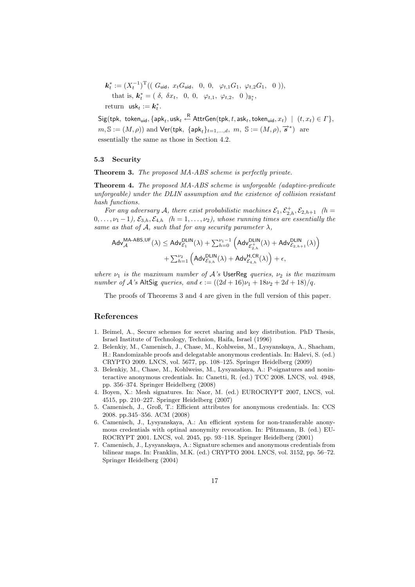$$
\mathbf{k}_{t}^{*} := (X_{t}^{-1})^{\mathrm{T}}((G_{\text{uid}}, x_{t}G_{\text{uid}}, 0, 0, \varphi_{t,1}G_{1}, \varphi_{t,2}G_{1}, 0)),
$$
  
that is,  $\mathbf{k}_{t}^{*} = (\delta, \delta x_{t}, 0, 0, \varphi_{t,1}, \varphi_{t,2}, 0)_{\mathbb{B}_{t}^{*}},$   
return usk<sub>t</sub> :=  $\mathbf{k}_{t}^{*}$ .

 $\mathsf{Sig}(\mathsf{tpk},\ \mathsf{token}_\mathsf{uid}, \{\mathsf{apk}_t, \mathsf{usk}_t \overset{\mathsf{R}}{\leftarrow} \mathsf{AttrGen}(\mathsf{tpk}, t, \mathsf{ask}_t, \mathsf{token}_\mathsf{uid}, x_t) \ \mid \ (t, x_t) \in \varGamma\},$  $m, \mathbb{S} := (M, \rho)$  and  $\mathsf{Ver}(\mathsf{tpk}, \ \{\mathsf{apk}_t\}_{t=1,\dots,d}, \ m, \ \mathbb{S} := (M, \rho), \overrightarrow{s}^*)$  are essentially the same as those in Section 4.2.

#### **5.3 Security**

**Theorem 3.** *The proposed MA-ABS scheme is perfectly private.*

**Theorem 4.** *The proposed MA-ABS scheme is unforgeable (adaptive-predicate unforgeable) under the DLIN assumption and the existence of collision resistant hash functions.*

For any adversary A, there exist probabilistic machines  $\mathcal{E}_1, \mathcal{E}_{2,h}^+, \mathcal{E}_{2,h+1}$  (h =  $(0,\ldots,\nu_1-1),\,\mathcal{E}_{3,h},\mathcal{E}_{4,h}$   $(h=1,\ldots,\nu_2),$  whose running times are essentially the *same as that of*  $\mathcal{A}$ *, such that for any security parameter*  $\lambda$ *,* 

$$
\begin{aligned} \mathsf{Adv}_{\mathcal{A}}^{\mathsf{MA}\text{-}\mathsf{ABS},\mathsf{UF}}(\lambda) & \leq \mathsf{Adv}_{\mathcal{E}_1}^{\mathsf{DLIN}}(\lambda) + \textstyle \sum_{h=0}^{\nu_1-1} \left( \mathsf{Adv}_{\mathcal{E}_{2,h}^+}^{\mathsf{DLIN}}(\lambda) + \mathsf{Adv}_{\mathcal{E}_2,h+1}^{\mathsf{DLIN}}(\lambda) \right) \\ & + \textstyle \sum_{h=1}^{\nu_2} \left( \mathsf{Adv}_{\mathcal{E}_{3,h}}^{\mathsf{DLIN}}(\lambda) + \mathsf{Adv}_{\mathcal{E}_{4,h}}^{\mathsf{H},\mathsf{CR}}(\lambda) \right) + \epsilon, \end{aligned}
$$

*where*  $\nu_1$  *is the maximum number of*  $A$ 's UserReg *queries*,  $\nu_2$  *is the maximum number of A*'s AltSig *queries, and*  $\epsilon := ((2d + 16)\nu_1 + 18\nu_2 + 2d + 18)/q$ .

The proofs of Theorems 3 and 4 are given in the full version of this paper.

# **References**

- 1. Beimel, A., Secure schemes for secret sharing and key distribution. PhD Thesis, Israel Institute of Technology, Technion, Haifa, Israel (1996)
- 2. Belenkiy, M., Camenisch, J., Chase, M., Kohlweiss, M., Lysyanskaya, A., Shacham, H.: Randomizable proofs and delegatable anonymous credentials. In: Halevi, S. (ed.) CRYPTO 2009. LNCS, vol. 5677, pp. 108–125. Springer Heidelberg (2009)
- 3. Belenkiy, M., Chase, M., Kohlweiss, M., Lysyanskaya, A.: P-signatures and noninteractive anonymous credentials. In: Canetti, R. (ed.) TCC 2008. LNCS, vol. 4948, pp. 356–374. Springer Heidelberg (2008)
- 4. Boyen, X.: Mesh signatures. In: Naor, M. (ed.) EUROCRYPT 2007, LNCS, vol. 4515, pp. 210–227. Springer Heidelberg (2007)
- 5. Camenisch, J., Groß, T.: Efficient attributes for anonymous credentials. In: CCS 2008. pp.345–356. ACM (2008)
- 6. Camenisch, J., Lysyanskaya, A.: An efficient system for non-transferable anonymous credentials with optinal anonymity revocation. In: Pfitzmann, B. (ed.) EU-ROCRYPT 2001. LNCS, vol. 2045, pp. 93–118. Springer Heidelberg (2001)
- 7. Camenisch, J., Lysyanskaya, A.: Signature schemes and anonymous credentials from bilinear maps. In: Franklin, M.K. (ed.) CRYPTO 2004. LNCS, vol. 3152, pp. 56–72. Springer Heidelberg (2004)